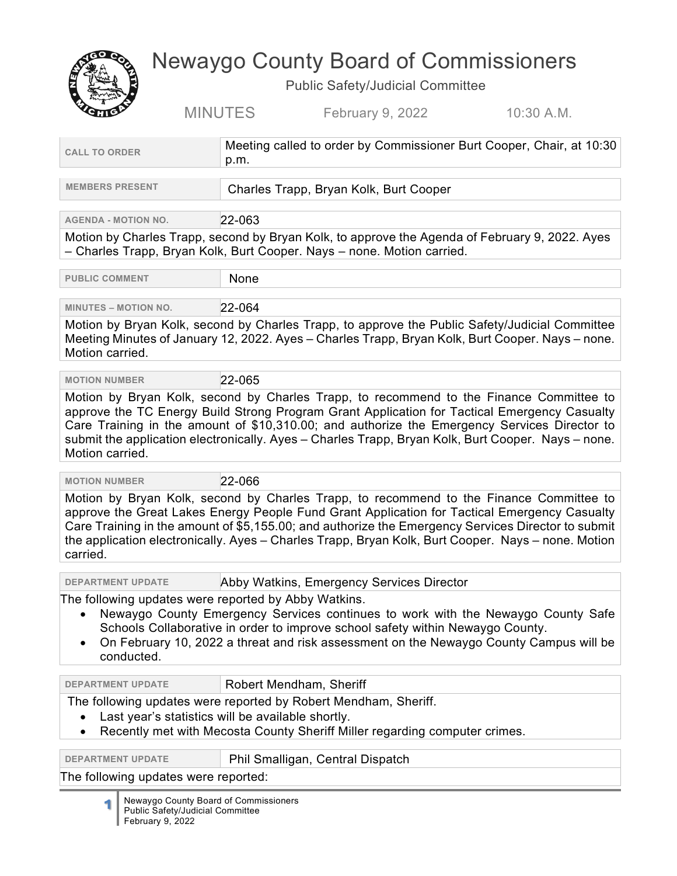

## Newaygo County Board of Commissioners

Public Safety/Judicial Committee

MINUTES February 9, 2022 10:30 A.M. **CALL TO ORDER** Meeting called to order by Commissioner Burt Cooper, Chair, at 10:30 p.m.  **MEMBERS PRESENT** Charles Trapp, Bryan Kolk, Burt Cooper **AGENDA - MOTION NO.** 22-063 Motion by Charles Trapp, second by Bryan Kolk, to approve the Agenda of February 9, 2022. Ayes – Charles Trapp, Bryan Kolk, Burt Cooper. Nays – none. Motion carried. PUBLIC COMMENT None **MINUTES – MOTION NO.** 22-064 Motion by Bryan Kolk, second by Charles Trapp, to approve the Public Safety/Judicial Committee Meeting Minutes of January 12, 2022. Ayes – Charles Trapp, Bryan Kolk, Burt Cooper. Nays – none. Motion carried. **MOTION NUMBER** 22-065 Motion by Bryan Kolk, second by Charles Trapp, to recommend to the Finance Committee to approve the TC Energy Build Strong Program Grant Application for Tactical Emergency Casualty Care Training in the amount of \$10,310.00; and authorize the Emergency Services Director to submit the application electronically. Ayes – Charles Trapp, Bryan Kolk, Burt Cooper. Nays – none. Motion carried. **MOTION NUMBER** 22-066 Motion by Bryan Kolk, second by Charles Trapp, to recommend to the Finance Committee to approve the Great Lakes Energy People Fund Grant Application for Tactical Emergency Casualty Care Training in the amount of \$5,155.00; and authorize the Emergency Services Director to submit the application electronically. Ayes – Charles Trapp, Bryan Kolk, Burt Cooper. Nays – none. Motion carried. **DEPARTMENT UPDATE Abby Watkins, Emergency Services Director** The following updates were reported by Abby Watkins. • Newaygo County Emergency Services continues to work with the Newaygo County Safe Schools Collaborative in order to improve school safety within Newaygo County. • On February 10, 2022 a threat and risk assessment on the Newaygo County Campus will be conducted. **DEPARTMENT UPDATE** Robert Mendham, Sheriff The following updates were reported by Robert Mendham, Sheriff. Last year's statistics will be available shortly. • Recently met with Mecosta County Sheriff Miller regarding computer crimes. **DEPARTMENT UPDATE** Phil Smalligan, Central Dispatch The following updates were reported:

**1** Newaygo County Board of Commissioners Public Safety/Judicial Committee February 9, 2022